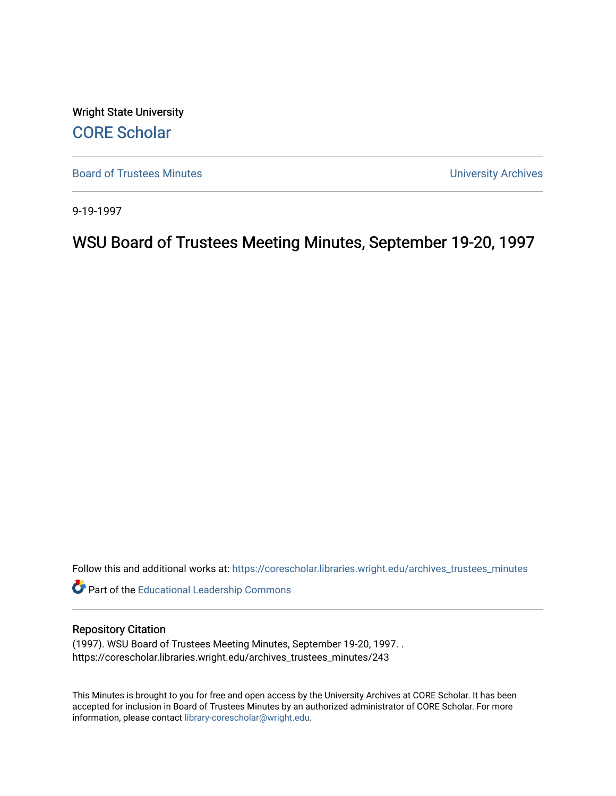Wright State University [CORE Scholar](https://corescholar.libraries.wright.edu/)

[Board of Trustees Minutes](https://corescholar.libraries.wright.edu/archives_trustees_minutes) **Exercise 2018** Solution 2018 10:30 Minutes University Archives

9-19-1997

WSU Board of Trustees Meeting Minutes, September 19-20, 1997

Follow this and additional works at: [https://corescholar.libraries.wright.edu/archives\\_trustees\\_minutes](https://corescholar.libraries.wright.edu/archives_trustees_minutes?utm_source=corescholar.libraries.wright.edu%2Farchives_trustees_minutes%2F243&utm_medium=PDF&utm_campaign=PDFCoverPages) 

Part of the [Educational Leadership Commons](http://network.bepress.com/hgg/discipline/1230?utm_source=corescholar.libraries.wright.edu%2Farchives_trustees_minutes%2F243&utm_medium=PDF&utm_campaign=PDFCoverPages) 

#### Repository Citation

(1997). WSU Board of Trustees Meeting Minutes, September 19-20, 1997. . https://corescholar.libraries.wright.edu/archives\_trustees\_minutes/243

This Minutes is brought to you for free and open access by the University Archives at CORE Scholar. It has been accepted for inclusion in Board of Trustees Minutes by an authorized administrator of CORE Scholar. For more information, please contact [library-corescholar@wright.edu.](mailto:library-corescholar@wright.edu)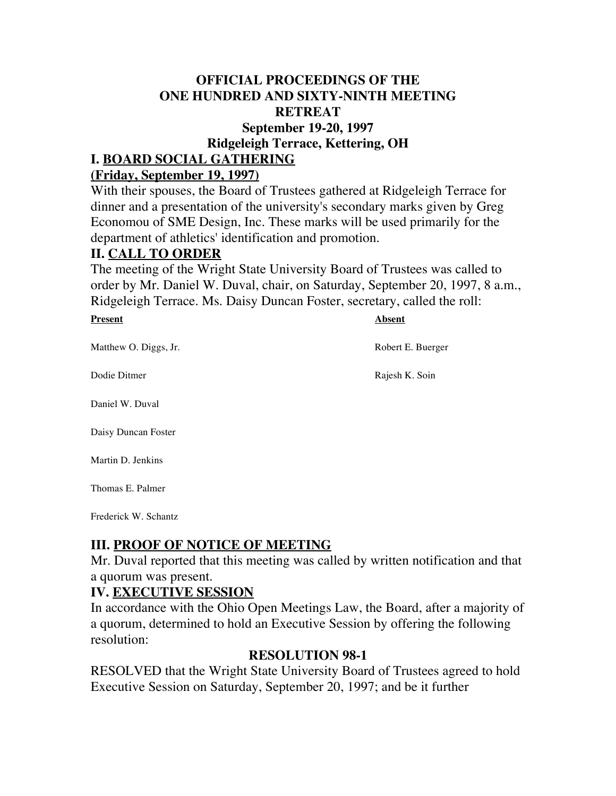#### **OFFICIAL PROCEEDINGS OF THE ONE HUNDRED AND SIXTY-NINTH MEETING RETREAT September 19-20, 1997**

 **Ridgeleigh Terrace, Kettering, OH**

## **I. BOARD SOCIAL GATHERING**

#### **(Friday, September 19, 1997)**

 With their spouses, the Board of Trustees gathered at Ridgeleigh Terrace for Economou of SME Design, Inc. These marks will be used primarily for the department of athletics' identification and promotion. dinner and a presentation of the university's secondary marks given by Greg

#### **II. CALL TO ORDER**

 The meeting of the Wright State University Board of Trustees was called to order by Mr. Daniel W. Duval, chair, on Saturday, September 20, 1997, 8 a.m., Ridgeleigh Terrace. Ms. Daisy Duncan Foster, secretary, called the roll:

#### **Present**

**Absent** 

Rajesh K. Soin

Matthew O. Diggs, Jr. Robert E. Buerger

Dodie Ditmer

Daniel W. Duval

Daisy Duncan Foster

Martin D. Jenkins

Thomas E. Palmer

Frederick W. Schantz

### **III. PROOF OF NOTICE OF MEETING**

Mr. Duval reported that this meeting was called by written notification and that a quorum was present.

### **IV. EXECUTIVE SESSION**

In accordance with the Ohio Open Meetings Law, the Board, after a majority of a quorum, determined to hold an Executive Session by offering the following resolution:

#### **RESOLUTION 98-1**

RESOLVED that the Wright State University Board of Trustees agreed to hold Executive Session on Saturday, September 20, 1997; and be it further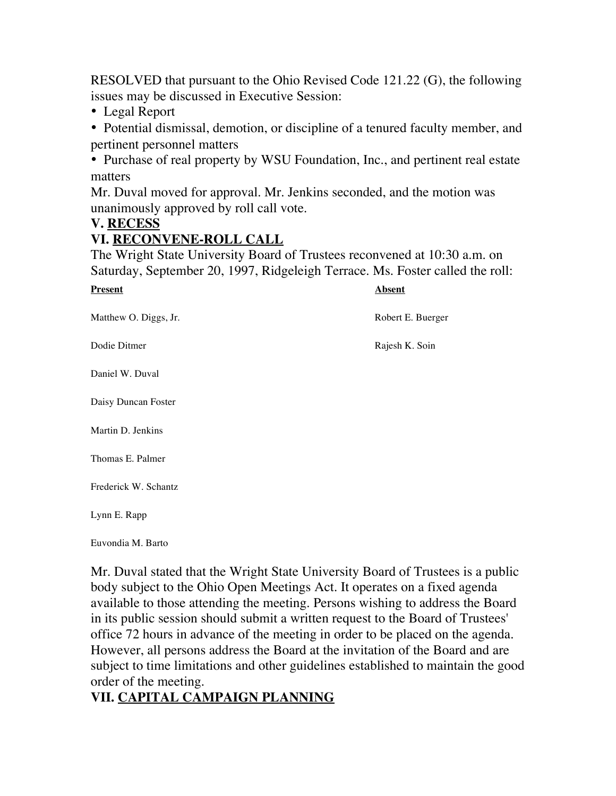RESOLVED that pursuant to the Ohio Revised Code 121.22 (G), the following issues may be discussed in Executive Session:

• Legal Report

 • Potential dismissal, demotion, or discipline of a tenured faculty member, and pertinent personnel matters

 • Purchase of real property by WSU Foundation, Inc., and pertinent real estate matters

 Mr. Duval moved for approval. Mr. Jenkins seconded, and the motion was unanimously approved by roll call vote.

#### **V. RECESS**

### **VI. RECONVENE-ROLL CALL**

 The Wright State University Board of Trustees reconvened at 10:30 a.m. on Saturday, September 20, 1997, Ridgeleigh Terrace. Ms. Foster called the roll:

| <b>Present</b>        | <b>Absent</b> |
|-----------------------|---------------|
| Matthew O. Diggs, Jr. | Robert 1      |
| Dodie Ditmer          | Rajesh l      |
| Daniel W. Duval       |               |
| Daisy Duncan Foster   |               |
| Martin D. Jenkins     |               |
| Thomas E. Palmer      |               |
| Frederick W. Schantz  |               |
| Lynn E. Rapp          |               |
| Euvondia M. Barto     |               |

 Mr. Duval stated that the Wright State University Board of Trustees is a public body subject to the Ohio Open Meetings Act. It operates on a fixed agenda However, all persons address the Board at the invitation of the Board and are available to those attending the meeting. Persons wishing to address the Board in its public session should submit a written request to the Board of Trustees' office 72 hours in advance of the meeting in order to be placed on the agenda. subject to time limitations and other guidelines established to maintain the good order of the meeting.

# **VII. CAPITAL CAMPAIGN PLANNING**

Robert E. Buerger

Rajesh K. Soin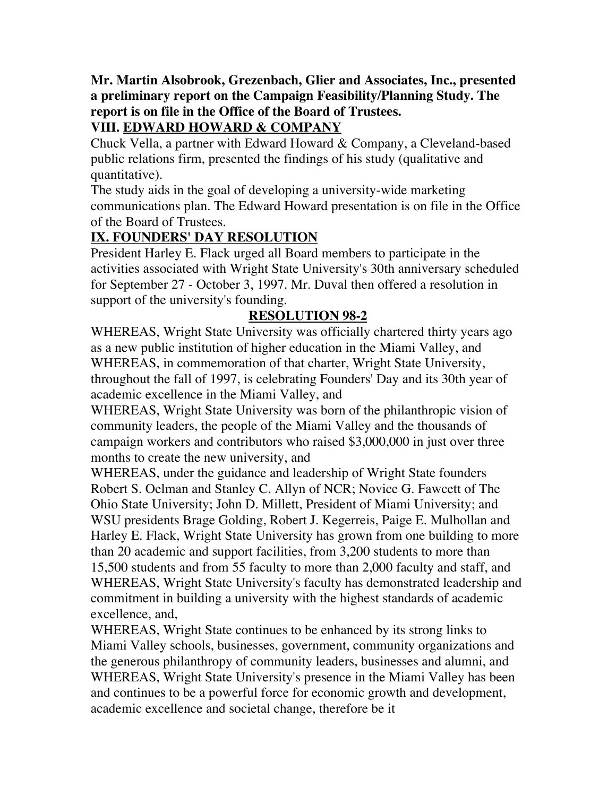# **Mr. Martin Alsobrook, Grezenbach, Glier and Associates, Inc., presented report is on file in the Office of the Board of Trustees. a preliminary report on the Campaign Feasibility/Planning Study. The**

# **VIII. EDWARD HOWARD & COMPANY**

 Chuck Vella, a partner with Edward Howard & Company, a Cleveland-based public relations firm, presented the findings of his study (qualitative and quantitative).

 The study aids in the goal of developing a university-wide marketing communications plan. The Edward Howard presentation is on file in the Office of the Board of Trustees.

## **IX. FOUNDERS' DAY RESOLUTION**

 President Harley E. Flack urged all Board members to participate in the for September 27 - October 3, 1997. Mr. Duval then offered a resolution in activities associated with Wright State University's 30th anniversary scheduled support of the university's founding.

# **RESOLUTION 98-2**

 WHEREAS, Wright State University was officially chartered thirty years ago as a new public institution of higher education in the Miami Valley, and WHEREAS, in commemoration of that charter, Wright State University, throughout the fall of 1997, is celebrating Founders' Day and its 30th year of academic excellence in the Miami Valley, and

 WHEREAS, Wright State University was born of the philanthropic vision of months to create the new university, and community leaders, the people of the Miami Valley and the thousands of campaign workers and contributors who raised \$3,000,000 in just over three

 WHEREAS, under the guidance and leadership of Wright State founders Robert S. Oelman and Stanley C. Allyn of NCR; Novice G. Fawcett of The Ohio State University; John D. Millett, President of Miami University; and WSU presidents Brage Golding, Robert J. Kegerreis, Paige E. Mulhollan and Harley E. Flack, Wright State University has grown from one building to more WHEREAS, Wright State University's faculty has demonstrated leadership and than 20 academic and support facilities, from 3,200 students to more than 15,500 students and from 55 faculty to more than 2,000 faculty and staff, and commitment in building a university with the highest standards of academic excellence, and,

 WHEREAS, Wright State continues to be enhanced by its strong links to Miami Valley schools, businesses, government, community organizations and WHEREAS, Wright State University's presence in the Miami Valley has been academic excellence and societal change, therefore be it the generous philanthropy of community leaders, businesses and alumni, and and continues to be a powerful force for economic growth and development,